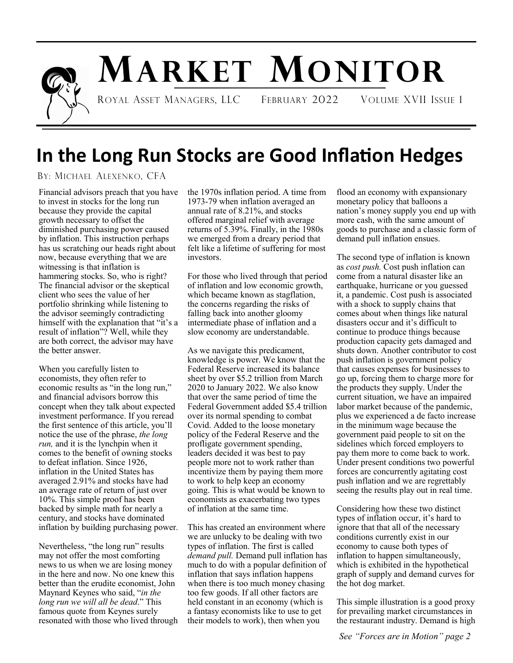

# **MARKET MONITOR**

ROYAL ASSET MANAGERS, LLC FEBRUARY 2022 VOLUME XVII ISSUE 1

## **In the Long Run Stocks are Good Inflation Hedges**

BY: MICHAEL ALEXENKO, CFA

Financial advisors preach that you have to invest in stocks for the long run because they provide the capital growth necessary to offset the diminished purchasing power caused by inflation. This instruction perhaps has us scratching our heads right about now, because everything that we are witnessing is that inflation is hammering stocks. So, who is right? The financial advisor or the skeptical client who sees the value of her portfolio shrinking while listening to the advisor seemingly contradicting himself with the explanation that "it's a result of inflation"? Well, while they are both correct, the advisor may have the better answer.

When you carefully listen to economists, they often refer to economic results as "in the long run," and financial advisors borrow this concept when they talk about expected investment performance. If you reread the first sentence of this article, you'll notice the use of the phrase, *the long run,* and it is the lynchpin when it comes to the benefit of owning stocks to defeat inflation. Since 1926, inflation in the United States has averaged 2.91% and stocks have had an average rate of return of just over 10%. This simple proof has been backed by simple math for nearly a century, and stocks have dominated inflation by building purchasing power.

Nevertheless, "the long run" results may not offer the most comforting news to us when we are losing money in the here and now. No one knew this better than the erudite economist, John Maynard Keynes who said, "*in the long run we will all be dead*." This famous quote from Keynes surely resonated with those who lived through the 1970s inflation period. A time from 1973-79 when inflation averaged an annual rate of 8.21%, and stocks offered marginal relief with average returns of 5.39%. Finally, in the 1980s we emerged from a dreary period that felt like a lifetime of suffering for most investors.

For those who lived through that period of inflation and low economic growth, which became known as stagflation, the concerns regarding the risks of falling back into another gloomy intermediate phase of inflation and a slow economy are understandable.

As we navigate this predicament, knowledge is power. We know that the Federal Reserve increased its balance sheet by over \$5.2 trillion from March 2020 to January 2022. We also know that over the same period of time the Federal Government added \$5.4 trillion over its normal spending to combat Covid. Added to the loose monetary policy of the Federal Reserve and the profligate government spending, leaders decided it was best to pay people more not to work rather than incentivize them by paying them more to work to help keep an economy going. This is what would be known to economists as exacerbating two types of inflation at the same time.

This has created an environment where we are unlucky to be dealing with two types of inflation. The first is called *demand pull.* Demand pull inflation has much to do with a popular definition of inflation that says inflation happens when there is too much money chasing too few goods. If all other factors are held constant in an economy (which is a fantasy economists like to use to get their models to work), then when you

flood an economy with expansionary monetary policy that balloons a nation's money supply you end up with more cash, with the same amount of goods to purchase and a classic form of demand pull inflation ensues.

The second type of inflation is known as *cost push.* Cost push inflation can come from a natural disaster like an earthquake, hurricane or you guessed it, a pandemic. Cost push is associated with a shock to supply chains that comes about when things like natural disasters occur and it's difficult to continue to produce things because production capacity gets damaged and shuts down. Another contributor to cost push inflation is government policy that causes expenses for businesses to go up, forcing them to charge more for the products they supply. Under the current situation, we have an impaired labor market because of the pandemic, plus we experienced a de facto increase in the minimum wage because the government paid people to sit on the sidelines which forced employers to pay them more to come back to work. Under present conditions two powerful forces are concurrently agitating cost push inflation and we are regrettably seeing the results play out in real time.

Considering how these two distinct types of inflation occur, it's hard to ignore that that all of the necessary conditions currently exist in our economy to cause both types of inflation to happen simultaneously, which is exhibited in the hypothetical graph of supply and demand curves for the hot dog market.

This simple illustration is a good proxy for prevailing market circumstances in the restaurant industry. Demand is high